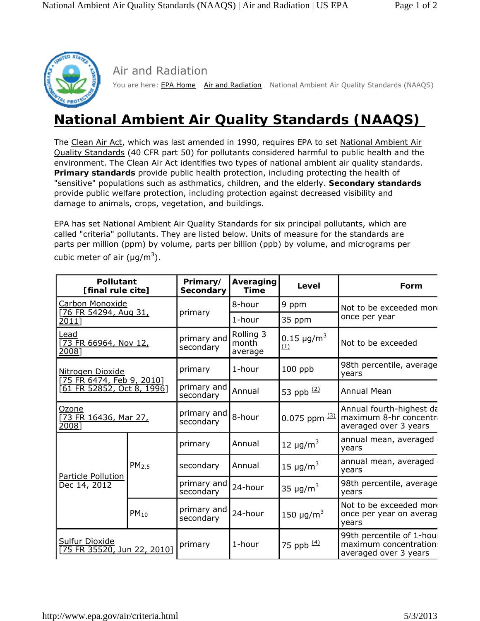

Air and Radiation

You are here: **EPA Home** Air and Radiation National Ambient Air Quality Standards (NAAQS)

## **National Ambient Air Quality Standards (NAAQS)**

The Clean Air Act, which was last amended in 1990, requires EPA to set National Ambient Air Quality Standards (40 CFR part 50) for pollutants considered harmful to public health and the environment. The Clean Air Act identifies two types of national ambient air quality standards. *Primary standards* provide public health protection, including protecting the health of "sensitive" populations such as asthmatics, children, and the elderly. *Secondary standards* provide public welfare protection, including protection against decreased visibility and damage to animals, crops, vegetation, and buildings.

EPA has set National Ambient Air Quality Standards for six principal pollutants, which are called "criteria" pollutants. They are listed below. Units of measure for the standards are parts per million (ppm) by volume, parts per billion (ppb) by volume, and micrograms per cubic meter of air ( $\mu$ g/m<sup>3</sup>).

| <b>Pollutant</b><br>[final rule cite]                                              |                   | Primary/<br><b>Secondary</b> | Averaging<br><b>Time</b>      | Level                              | Form                                                                         |
|------------------------------------------------------------------------------------|-------------------|------------------------------|-------------------------------|------------------------------------|------------------------------------------------------------------------------|
| Carbon Monoxide                                                                    |                   | primary                      | 8-hour                        | 9 ppm                              | Not to be exceeded more<br>once per year                                     |
| [76 FR 54294, Aug 31,<br>2011]                                                     |                   |                              | 1-hour                        | 35 ppm                             |                                                                              |
| <u>Lead</u><br>[73 FR 66964, Nov 12,<br>2008]                                      |                   | primary and<br>secondary     | Rolling 3<br>month<br>average | 0.15 $\mu$ g/m <sup>3</sup><br>(1) | Not to be exceeded                                                           |
| Nitrogen Dioxide<br>[75 FR 6474, Feb 9, 2010]<br><u>[61 FR 52852, Oct 8, 1996]</u> |                   | primary                      | 1-hour                        | 100 ppb                            | 98th percentile, average<br>years                                            |
|                                                                                    |                   | primary and<br>secondary     | Annual                        | 53 ppb $(2)$                       | <b>Annual Mean</b>                                                           |
| Ozone<br>[73 FR 16436, Mar 27,<br>2008]                                            |                   | primary and<br>secondary     | 8-hour                        | $0.075$ ppm $(3)$                  | Annual fourth-highest da<br>maximum 8-hr concentra<br>averaged over 3 years  |
| Particle Pollution<br>Dec 14, 2012                                                 | PM <sub>2.5</sub> | primary                      | Annual                        | 12 $\mu$ g/m <sup>3</sup>          | annual mean, averaged<br>years                                               |
|                                                                                    |                   | secondary                    | Annual                        | 15 $\mu$ g/m <sup>3</sup>          | annual mean, averaged<br>years                                               |
|                                                                                    |                   | primary and<br>secondary     | 24-hour                       | 35 $\mu$ g/m <sup>3</sup>          | 98th percentile, average<br>years                                            |
|                                                                                    | $PM_{10}$         | primary and<br>secondary     | 24-hour                       | 150 $\mu$ g/m <sup>3</sup>         | Not to be exceeded more<br>once per year on averag<br>years                  |
| <b>Sulfur Dioxide</b><br>[75 FR 35520, Jun 22, 2010]                               |                   | primary                      | 1-hour                        | 75 ppb $(4)$                       | 99th percentile of 1-hour<br>maximum concentration:<br>averaged over 3 years |